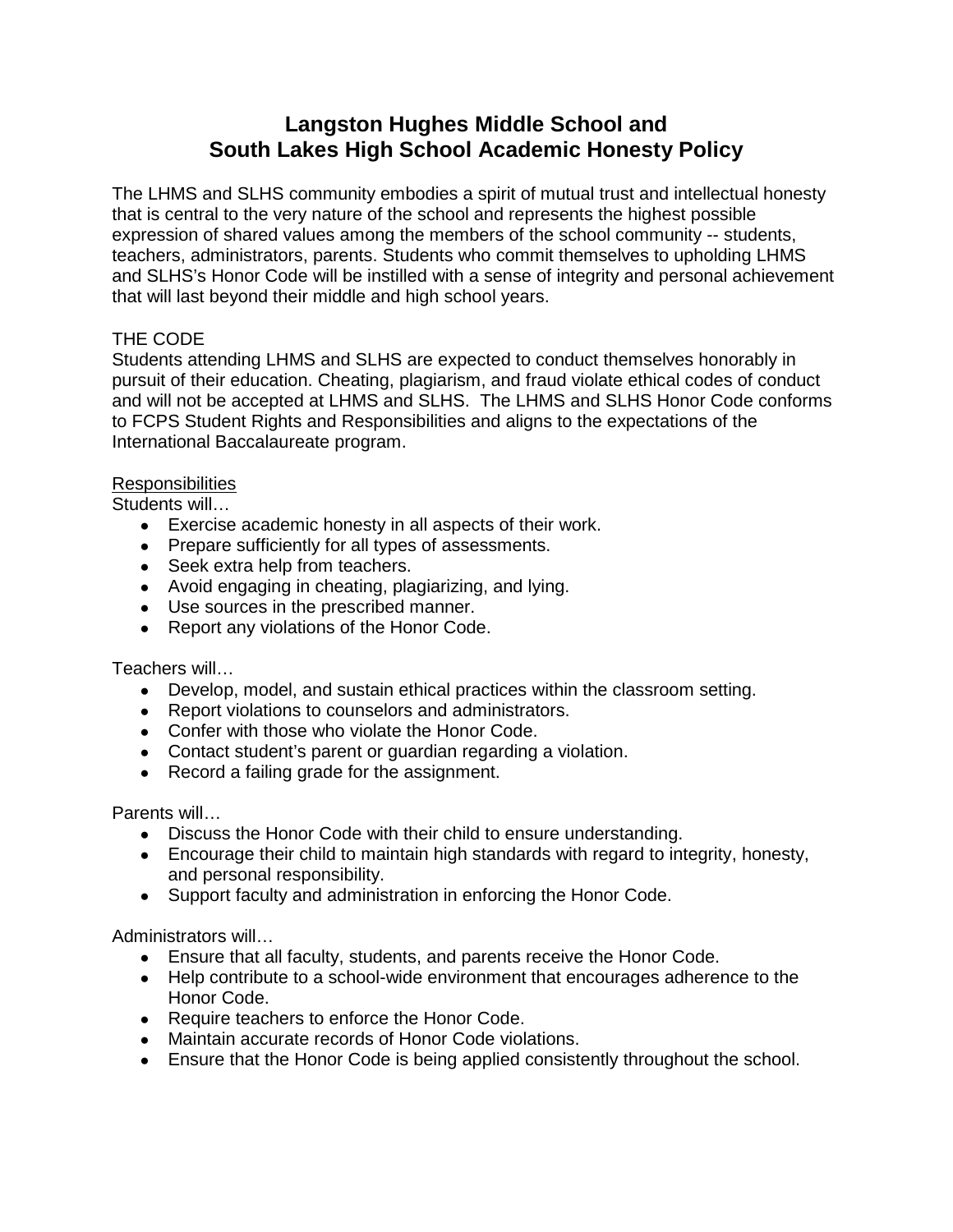# **Langston Hughes Middle School and South Lakes High School Academic Honesty Policy**

The LHMS and SLHS community embodies a spirit of mutual trust and intellectual honesty that is central to the very nature of the school and represents the highest possible expression of shared values among the members of the school community -- students, teachers, administrators, parents. Students who commit themselves to upholding LHMS and SLHS's Honor Code will be instilled with a sense of integrity and personal achievement that will last beyond their middle and high school years.

## THE CODE

Students attending LHMS and SLHS are expected to conduct themselves honorably in pursuit of their education. Cheating, plagiarism, and fraud violate ethical codes of conduct and will not be accepted at LHMS and SLHS. The LHMS and SLHS Honor Code conforms to FCPS Student Rights and Responsibilities and aligns to the expectations of the International Baccalaureate program.

## Responsibilities

Students will…

- Exercise academic honesty in all aspects of their work.
- Prepare sufficiently for all types of assessments.
- Seek extra help from teachers.
- Avoid engaging in cheating, plagiarizing, and lying.
- Use sources in the prescribed manner.
- Report any violations of the Honor Code.

## Teachers will…

- Develop, model, and sustain ethical practices within the classroom setting.
- Report violations to counselors and administrators.
- Confer with those who violate the Honor Code.
- Contact student's parent or guardian regarding a violation.
- Record a failing grade for the assignment.

Parents will…

- Discuss the Honor Code with their child to ensure understanding.
- Encourage their child to maintain high standards with regard to integrity, honesty, and personal responsibility.
- Support faculty and administration in enforcing the Honor Code.

Administrators will…

- Ensure that all faculty, students, and parents receive the Honor Code.
- Help contribute to a school-wide environment that encourages adherence to the Honor Code.
- Require teachers to enforce the Honor Code.
- Maintain accurate records of Honor Code violations.
- Ensure that the Honor Code is being applied consistently throughout the school.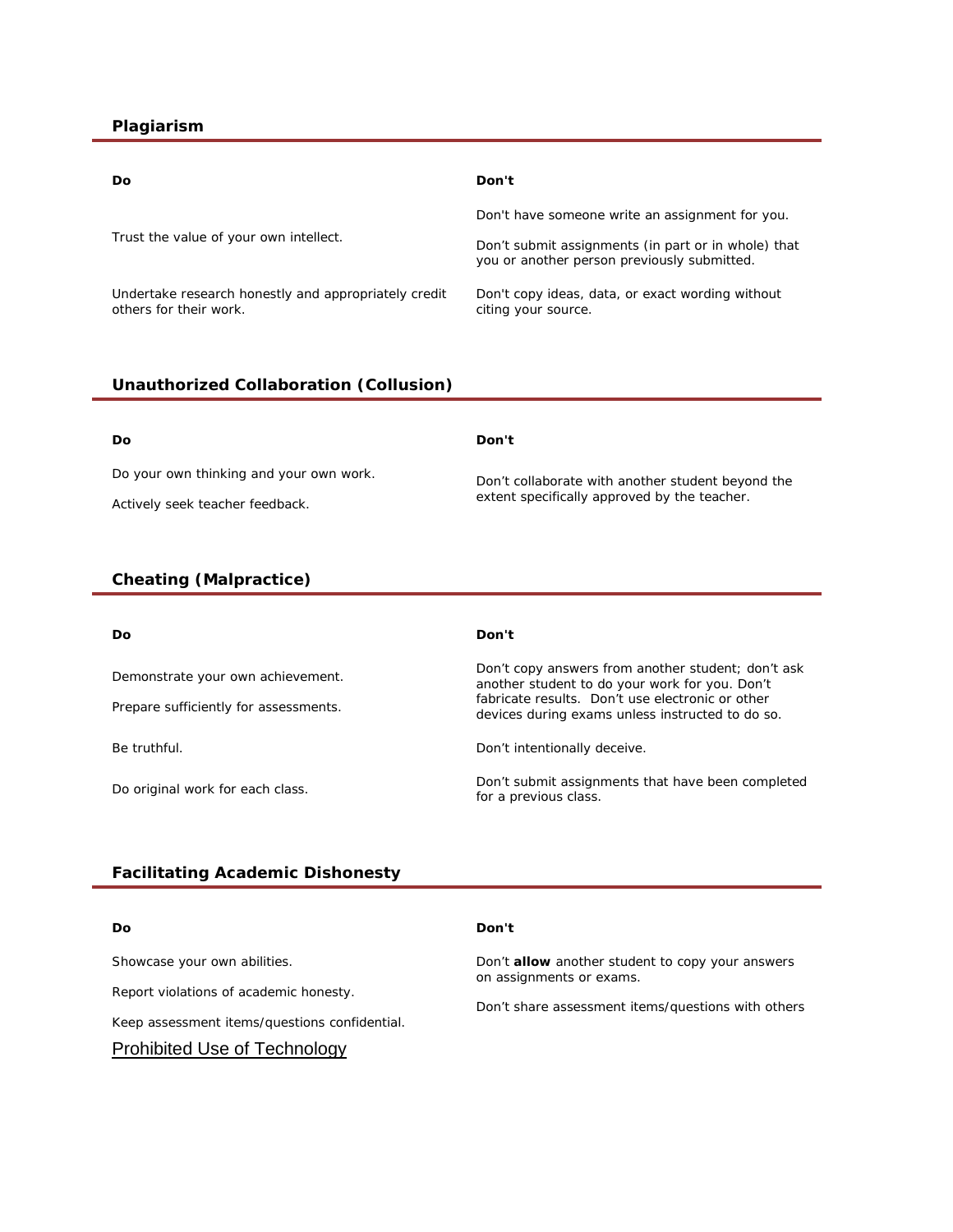#### **Plagiarism**

| Do                                                                             | Don't                                                                                              |
|--------------------------------------------------------------------------------|----------------------------------------------------------------------------------------------------|
| Trust the value of your own intellect.                                         | Don't have someone write an assignment for you.                                                    |
|                                                                                | Don't submit assignments (in part or in whole) that<br>you or another person previously submitted. |
| Undertake research honestly and appropriately credit<br>others for their work. | Don't copy ideas, data, or exact wording without<br>citing your source.                            |

#### **Unauthorized Collaboration (Collusion)**

| Do                                      | Don't                                                                                             |
|-----------------------------------------|---------------------------------------------------------------------------------------------------|
| Do your own thinking and your own work. | Don't collaborate with another student beyond the<br>extent specifically approved by the teacher. |
| Actively seek teacher feedback.         |                                                                                                   |

#### **Cheating (Malpractice)**

| Do                                    | Don't                                                                                                |
|---------------------------------------|------------------------------------------------------------------------------------------------------|
| Demonstrate your own achievement.     | Don't copy answers from another student; don't ask<br>another student to do your work for you. Don't |
| Prepare sufficiently for assessments. | fabricate results. Don't use electronic or other<br>devices during exams unless instructed to do so. |
| Be truthful.                          | Don't intentionally deceive.                                                                         |
| Do original work for each class.      | Don't submit assignments that have been completed<br>for a previous class.                           |

#### **Facilitating Academic Dishonesty**

*Do Don't*

Showcase your own abilities. Report violations of academic honesty. Keep assessment items/questions confidential. Prohibited Use of Technology

Don't **allow** another student to copy *your* answers on assignments or exams.

Don't share assessment items/questions with others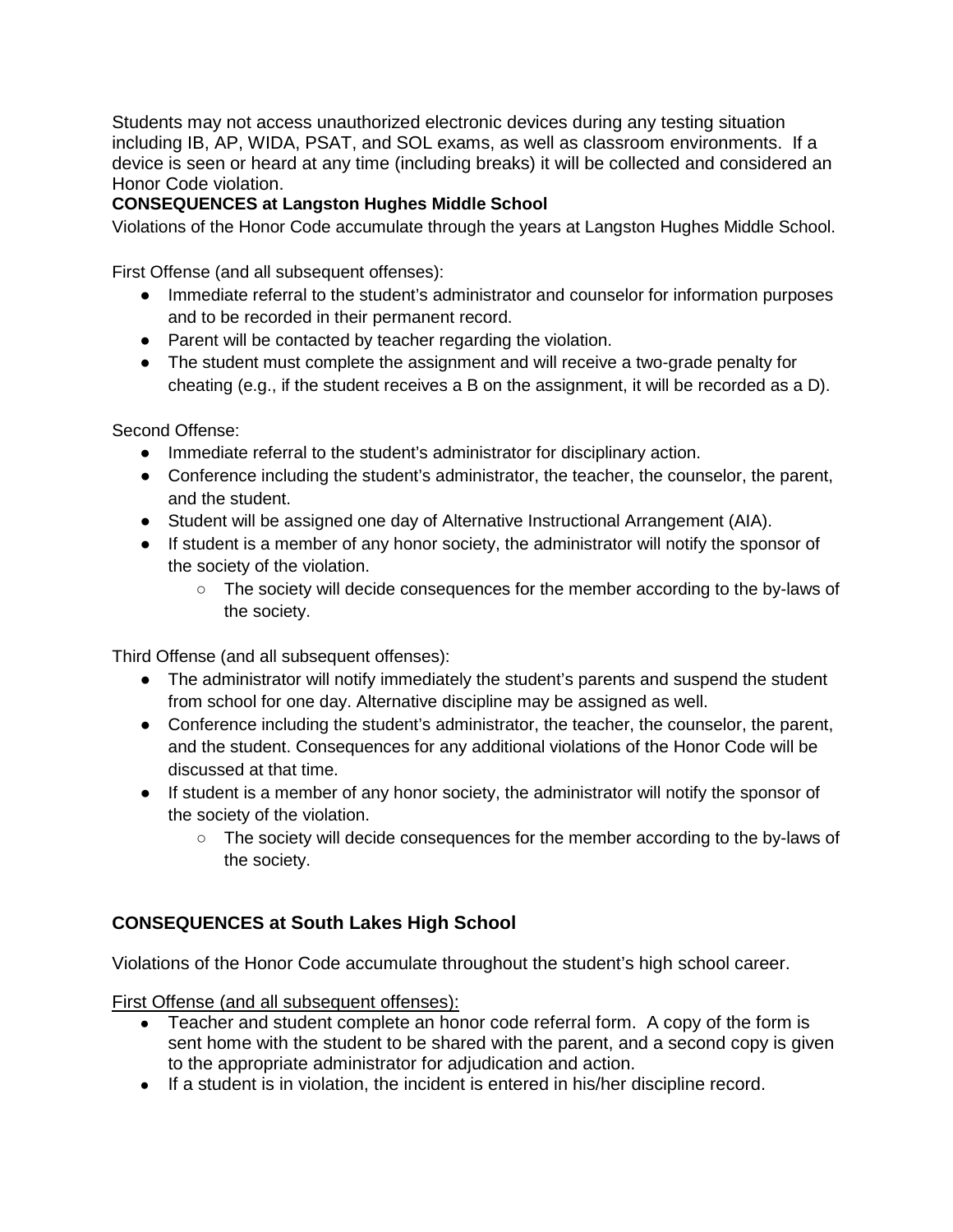Students may not access unauthorized electronic devices during any testing situation including IB, AP, WIDA, PSAT, and SOL exams, as well as classroom environments. If a device is seen or heard at any time (including breaks) it will be collected and considered an Honor Code violation.

## **CONSEQUENCES at Langston Hughes Middle School**

Violations of the Honor Code accumulate through the years at Langston Hughes Middle School.

First Offense (and all subsequent offenses):

- Immediate referral to the student's administrator and counselor for information purposes and to be recorded in their permanent record.
- Parent will be contacted by teacher regarding the violation.
- The student must complete the assignment and will receive a two-grade penalty for cheating (e.g., if the student receives a B on the assignment, it will be recorded as a D).

Second Offense:

- Immediate referral to the student's administrator for disciplinary action.
- Conference including the student's administrator, the teacher, the counselor, the parent, and the student.
- Student will be assigned one day of Alternative Instructional Arrangement (AIA).
- If student is a member of any honor society, the administrator will notify the sponsor of the society of the violation.
	- The society will decide consequences for the member according to the by-laws of the society.

Third Offense (and all subsequent offenses):

- The administrator will notify immediately the student's parents and suspend the student from school for one day. Alternative discipline may be assigned as well.
- Conference including the student's administrator, the teacher, the counselor, the parent, and the student. Consequences for any additional violations of the Honor Code will be discussed at that time.
- If student is a member of any honor society, the administrator will notify the sponsor of the society of the violation.
	- The society will decide consequences for the member according to the by-laws of the society.

## **CONSEQUENCES at South Lakes High School**

Violations of the Honor Code accumulate throughout the student's high school career.

First Offense (and all subsequent offenses):

- Teacher and student complete an honor code referral form. A copy of the form is sent home with the student to be shared with the parent, and a second copy is given to the appropriate administrator for adjudication and action.
- If a student is in violation, the incident is entered in his/her discipline record.